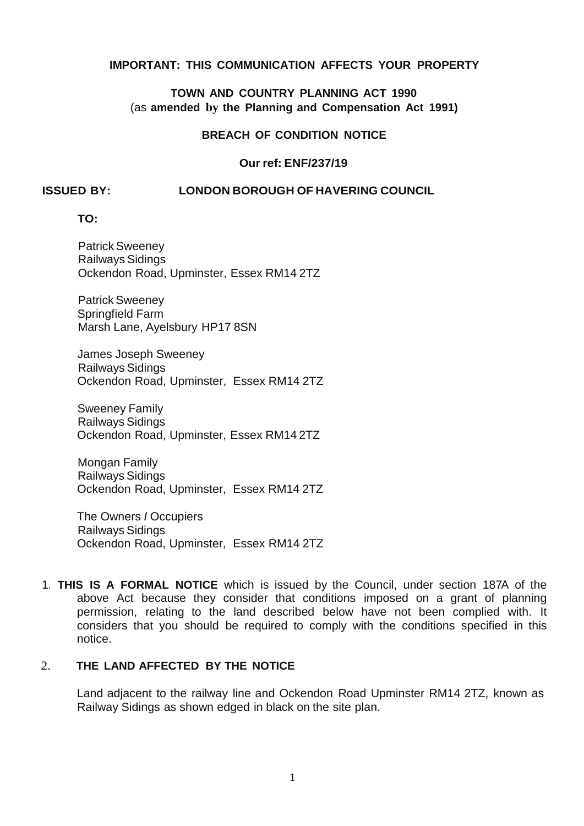# **IMPORTANT: THIS COMMUNICATION AFFECTS YOUR PROPERTY**

## **TOWN AND COUNTRY PLANNING ACT 1990**  (as **amended by the Planning and Compensation Act 1991)**

## **BREACH OF CONDITION NOTICE**

## **Our ref: ENF/237/19**

#### **ISSUED BY: LONDON BOROUGH OF HAVERING COUNCIL**

**TO:** 

 Ockendon Road, Upminster, Essex RM14 2TZ Patrick Sweeney Railways Sidings

 Marsh Lane, Ayelsbury HP17 8SN Patrick Sweeney Springfield Farm

 James Joseph Sweeney Ockendon Road, Upminster, Essex RM14 2TZ Railways Sidings

 Ockendon Road, Upminster, Essex RM14 2TZ Sweeney Family Railways Sidings

 Ockendon Road, Upminster, Essex RM14 2TZ Mongan Family Railways Sidings

 The Owners *I* Occupiers Ockendon Road, Upminster, Essex RM14 2TZ Railways Sidings

 1. **THIS IS A FORMAL NOTICE** which is issued by the Council, under section 187A of the above Act because they consider that conditions imposed on a grant of planning permission, relating to the land described below have not been complied with. It considers that you should be required to comply with the conditions specified in this notice.

#### 2. **THE LAND AFFECTED BY THE NOTICE**

 Land adjacent to the railway line and Ockendon Road Upminster RM14 2TZ, known as Railway Sidings as shown edged in black on the site plan.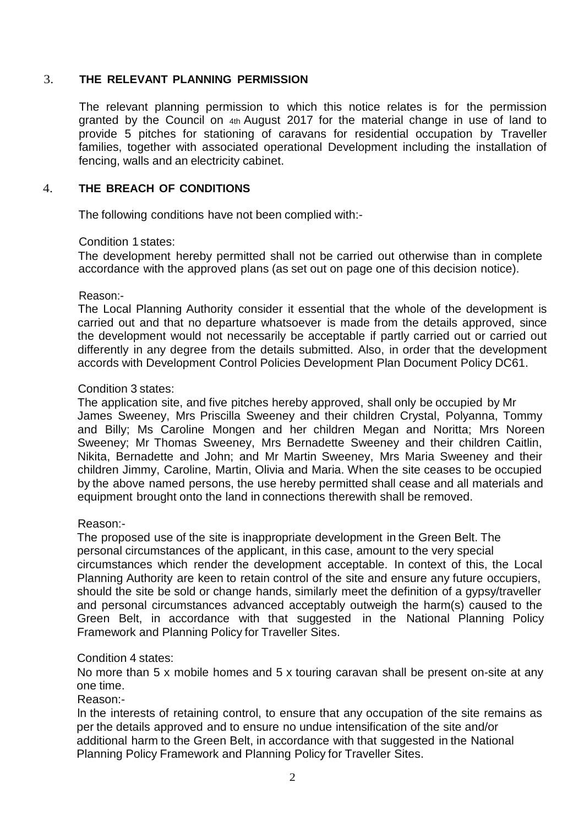## 3. **THE RELEVANT PLANNING PERMISSION**

 The relevant planning permission to which this notice relates is for the permission granted by the Council on 4th August 2017 for the material change in use of land to provide 5 pitches for stationing of caravans for residential occupation by Traveller families, together with associated operational Development including the installation of fencing, walls and an electricity cabinet.

# 4. **THE BREACH OF CONDITIONS**

The following conditions have not been complied with:-

## Condition 1 states:

 The development hereby permitted shall not be carried out otherwise than in complete accordance with the approved plans (as set out on page one of this decision notice).

#### Reason:-

 The Local Planning Authority consider it essential that the whole of the development is carried out and that no departure whatsoever is made from the details approved, since the development would not necessarily be acceptable if partly carried out or carried out differently in any degree from the details submitted. Also, in order that the development accords with Development Control Policies Development Plan Document Policy DC61.

# Condition 3 states:

 The application site, and five pitches hereby approved, shall only be occupied by Mr James Sweeney, Mrs Priscilla Sweeney and their children Crystal, Polyanna, Tommy and Billy; Ms Caroline Mongen and her children Megan and Noritta; Mrs Noreen Sweeney; Mr Thomas Sweeney, Mrs Bernadette Sweeney and their children Caitlin, Nikita, Bernadette and John; and Mr Martin Sweeney, Mrs Maria Sweeney and their children Jimmy, Caroline, Martin, Olivia and Maria. When the site ceases to be occupied by the above named persons, the use hereby permitted shall cease and all materials and equipment brought onto the land in connections therewith shall be removed.

### Reason:-

 The proposed use of the site is inappropriate development in the Green Belt. The personal circumstances of the applicant, in this case, amount to the very special circumstances which render the development acceptable. In context of this, the Local Planning Authority are keen to retain control of the site and ensure any future occupiers, should the site be sold or change hands, similarly meet the definition of a gypsy/traveller and personal circumstances advanced acceptably outweigh the harm(s) caused to the Green Belt, in accordance with that suggested in the National Planning Policy Framework and Planning Policy for Traveller Sites.

## Condition 4 states:

 No more than 5 x mobile homes and 5 x touring caravan shall be present on-site at any one time.

#### Reason:-

 ln the interests of retaining control, to ensure that any occupation of the site remains as per the details approved and to ensure no undue intensification of the site and/or additional harm to the Green Belt, in accordance with that suggested in the National Planning Policy Framework and Planning Policy for Traveller Sites.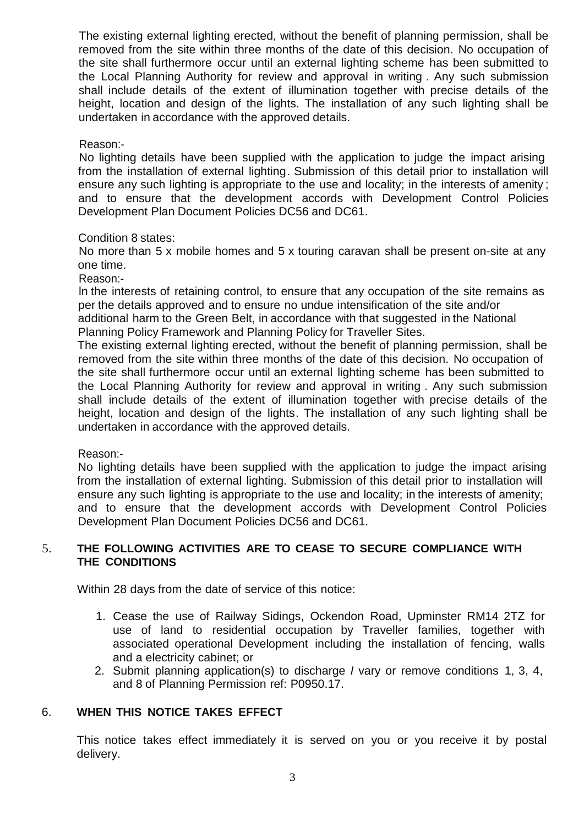The existing external lighting erected, without the benefit of planning permission, shall be removed from the site within three months of the date of this decision. No occupation of the site shall furthermore occur until an external lighting scheme has been submitted to the Local Planning Authority for review and approval in writing . Any such submission shall include details of the extent of illumination together with precise details of the height, location and design of the lights. The installation of any such lighting shall be undertaken in accordance with the approved details.

Reason:-

 No lighting details have been supplied with the application to judge the impact arising from the installation of external lighting. Submission of this detail prior to installation will ensure any such lighting is appropriate to the use and locality; in the interests of amenity ; and to ensure that the development accords with Development Control Policies Development Plan Document Policies DC56 and DC61.

# Condition 8 states:

 No more than 5 x mobile homes and 5 x touring caravan shall be present on-site at any one time.

Reason:-

 ln the interests of retaining control, to ensure that any occupation of the site remains as per the details approved and to ensure no undue intensification of the site and/or

 additional harm to the Green Belt, in accordance with that suggested in the National Planning Policy Framework and Planning Policy for Traveller Sites.

 The existing external lighting erected, without the benefit of planning permission, shall be removed from the site within three months of the date of this decision. No occupation of the site shall furthermore occur until an external lighting scheme has been submitted to the Local Planning Authority for review and approval in writing . Any such submission shall include details of the extent of illumination together with precise details of the height, location and design of the lights. The installation of any such lighting shall be undertaken in accordance with the approved details.

Reason:-

 No lighting details have been supplied with the application to judge the impact arising from the installation of external lighting. Submission of this detail prior to installation will ensure any such lighting is appropriate to the use and locality; in the interests of amenity; and to ensure that the development accords with Development Control Policies Development Plan Document Policies DC56 and DC61.

### 5. **THE FOLLOWING ACTIVITIES ARE TO CEASE TO SECURE COMPLIANCE WITH THE CONDITIONS**

Within 28 days from the date of service of this notice:

- 1. Cease the use of Railway Sidings, Ockendon Road, Upminster RM14 2TZ for use of land to residential occupation by Traveller families, together with associated operational Development including the installation of fencing, walls and a electricity cabinet; or
- 2. Submit planning application(s) to discharge *I* vary or remove conditions 1, 3, 4, and 8 of Planning Permission ref: P0950.17.

# 6. **WHEN THIS NOTICE TAKES EFFECT**

 This notice takes effect immediately it is served on you or you receive it by postal delivery.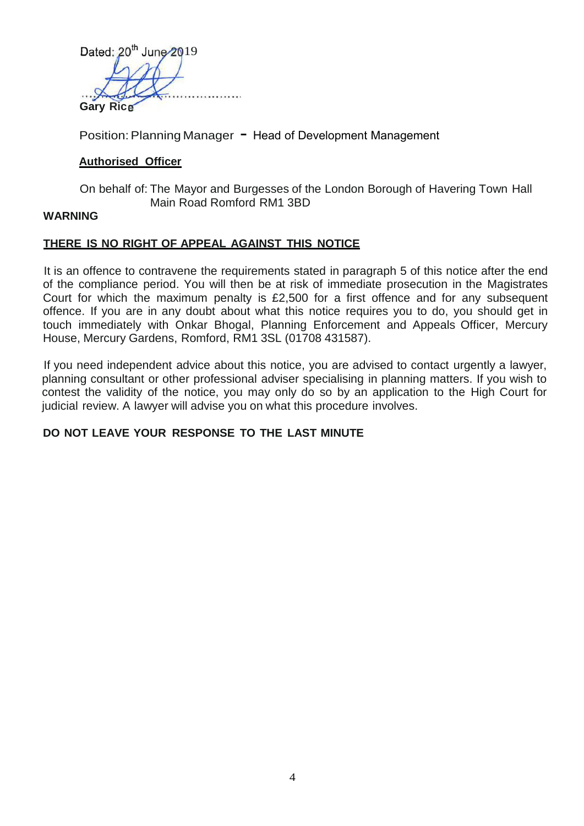Dated:  $20^{th}$  June  $2019$ . . . . . . . . . . . **Gary Rice** 

Position: Planning Manager - Head of Development Management

# **Authorised Officer**

 On behalf of: The Mayor and Burgesses of the London Borough of Havering Town Hall Main Road Romford RM1 3BD

### **WARNING**

## **THERE IS NO RIGHT OF APPEAL AGAINST THIS NOTICE**

 It is an offence to contravene the requirements stated in paragraph 5 of this notice after the end of the compliance period. You will then be at risk of immediate prosecution in the Magistrates Court for which the maximum penalty is £2,500 for a first offence and for any subsequent offence. If you are in any doubt about what this notice requires you to do, you should get in touch immediately with Onkar Bhogal, Planning Enforcement and Appeals Officer, Mercury House, Mercury Gardens, Romford, RM1 3SL (01708 431587).

 If you need independent advice about this notice, you are advised to contact urgently a lawyer, planning consultant or other professional adviser specialising in planning matters. If you wish to contest the validity of the notice, you may only do so by an application to the High Court for judicial review. A lawyer will advise you on what this procedure involves.

# **DO NOT LEAVE YOUR RESPONSE TO THE LAST MINUTE**